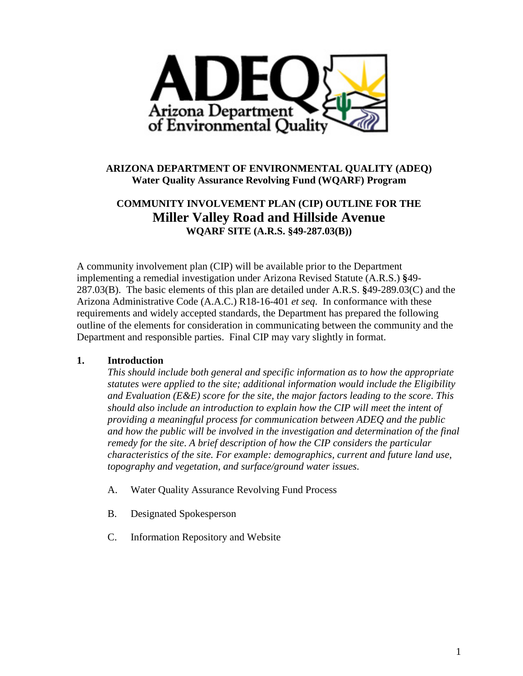

## **ARIZONA DEPARTMENT OF ENVIRONMENTAL QUALITY (ADEQ) Water Quality Assurance Revolving Fund (WQARF) Program**

# **COMMUNITY INVOLVEMENT PLAN (CIP) OUTLINE FOR THE Miller Valley Road and Hillside Avenue WQARF SITE (A.R.S. §49-287.03(B))**

A community involvement plan (CIP) will be available prior to the Department implementing a remedial investigation under Arizona Revised Statute (A.R.S.) **§**49- 287.03(B). The basic elements of this plan are detailed under A.R.S. **§**49-289.03(C) and the Arizona Administrative Code (A.A.C.) R18-16-401 *et seq*. In conformance with these requirements and widely accepted standards, the Department has prepared the following outline of the elements for consideration in communicating between the community and the Department and responsible parties. Final CIP may vary slightly in format.

## **1. Introduction**

*This should include both general and specific information as to how the appropriate statutes were applied to the site; additional information would include the Eligibility and Evaluation (E&E) score for the site, the major factors leading to the score*. *This should also include an introduction to explain how the CIP will meet the intent of providing a meaningful process for communication between ADEQ and the public and how the public will be involved in the investigation and determination of the final remedy for the site*. *A brief description of how the CIP considers the particular characteristics of the site. For example: demographics, current and future land use, topography and vegetation, and surface/ground water issues*.

- A. Water Quality Assurance Revolving Fund Process
- B. Designated Spokesperson
- C. Information Repository and Website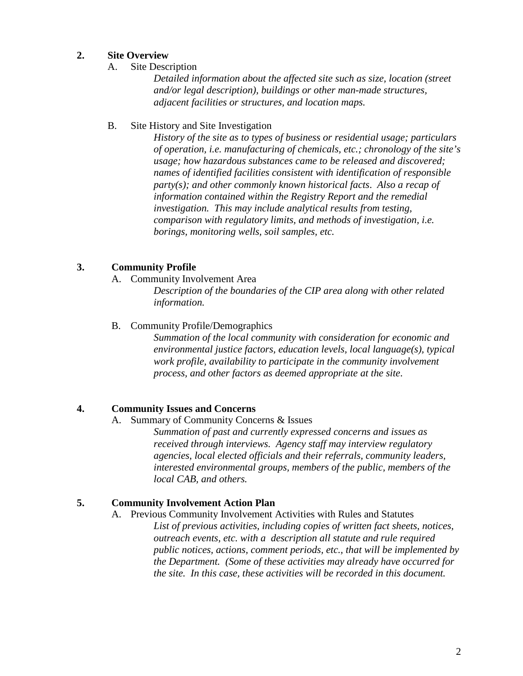## **2. Site Overview**

A. Site Description

*Detailed information about the affected site such as size, location (street and/or legal description), buildings or other man-made structures, adjacent facilities or structures, and location maps.*

#### B. Site History and Site Investigation

*History of the site as to types of business or residential usage; particulars of operation, i.e. manufacturing of chemicals, etc.; chronology of the site's usage; how hazardous substances came to be released and discovered; names of identified facilities consistent with identification of responsible party(s); and other commonly known historical facts*. *Also a recap of information contained within the Registry Report and the remedial investigation. This may include analytical results from testing, comparison with regulatory limits, and methods of investigation, i.e. borings, monitoring wells, soil samples, etc.*

## **3. Community Profile**

A. Community Involvement Area

*Description of the boundaries of the CIP area along with other related information.*

B. Community Profile/Demographics

*Summation of the local community with consideration for economic and environmental justice factors, education levels, local language(s), typical work profile, availability to participate in the community involvement process, and other factors as deemed appropriate at the site*.

#### **4. Community Issues and Concerns**

A. Summary of Community Concerns & Issues

*Summation of past and currently expressed concerns and issues as received through interviews. Agency staff may interview regulatory agencies, local elected officials and their referrals, community leaders, interested environmental groups, members of the public, members of the local CAB, and others.*

#### **5. Community Involvement Action Plan**

A. Previous Community Involvement Activities with Rules and Statutes

*List of previous activities, including copies of written fact sheets, notices, outreach events, etc. with a description all statute and rule required public notices, actions, comment periods, etc., that will be implemented by the Department. (Some of these activities may already have occurred for the site. In this case, these activities will be recorded in this document.*